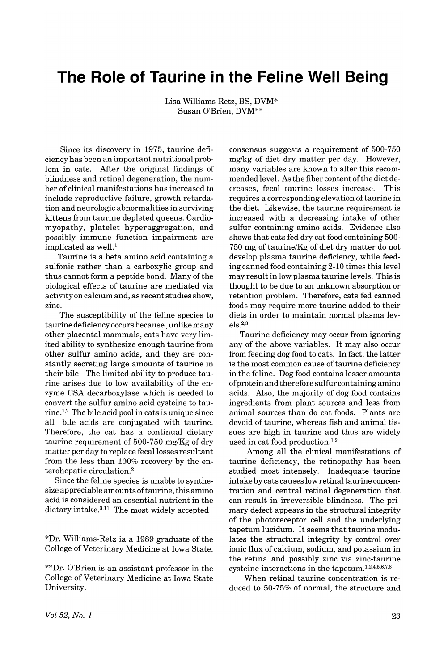## **The Role of Taurine in the Feline Well Being**

Lisa Williams-Retz, BS, DVM\* Susan O'Brien, DVM\*\*

Since its discovery in 1975, taurine deficiency has been an important nutritional problem in cats. After the original findings of blindness and retinal degeneration, the number of clinical manifestations has increased to include reproductive failure, growth retardation and neurologic abnormalities in surviving kittens from taurine depleted queens. Cardiomyopathy, platelet hyperaggregation, and possibly immune function impairment are implicated as well.<sup>1</sup>

Taurine is a beta amino acid containing a sulfonic rather than a carboxylic group and thus cannot form a peptide bond. Many of the biological effects of taurine are mediated via activity on calcium and, asrecentstudiesshow, zinc.

The susceptibility of the feline species to taurine deficiency occurs because, unlike many other placental mammals, cats have very limited 'ability to synthesize enough taurine from other sulfur amino acids, and they are constantly secreting large amounts of taurine in their bile. The limited ability to produce taurine arises due to low availability of the enzyme CSA decarboxylase which is needed to convert the sulfur amino acid cysteine to taurine. 1,2 The bile acid pool in cats is unique since all bile acids are conjugated with taurine. Therefore, the cat has a continual dietary taurine requirement of  $500-750$  mg/Kg of dry matter per day to replace fecal losses resultant from the less than 100% recovery by the enterohepatic circulation. <sup>2</sup>

Since the feline species is unable to synthesize appreciable amounts of taurine, this amino acid is considered an essential nutrient in the dietary intake.<sup>3,11</sup> The most widely accepted

\*Dr. Williams-Retz ia a 1989 graduate of the College of Veterinary Medicine at Iowa State.

\*\*Dr. O'Brien is an assistant professor in the College of Veterinary Medicine at Iowa State University.

consensus suggests a requirement of 500-750 mg/kg of diet dry matter per day. However, many variables are known to alter this recommended level. As the fiber content of the diet de-<br>creases. fecal taurine losses increase. This creases, fecal taurine losses increase. requires a corresponding elevation of taurine in the diet. Likewise, the taurine requirement is increased with a decreasing intake of other sulfur containing amino acids. Evidence also shows that cats fed dry cat food containing 500- 750 mg of taurinelKg of diet dry matter do not develop plasma taurine deficiency, while feeding canned food containing 2-10 times this level may result in low plasma taurine levels. This is thought to be due to an unknown absorption or retention problem. Therefore, cats fed canned foods may require more taurine added to their diets in order to maintain normal plasma lev $els.<sup>2,3</sup>$ 

Taurine deficiency may occur from ignoring any of the above variables. It may also occur from feeding dog food to cats. In fact, the latter is the most common cause of taurine deficiency in the feline. Dog food contains lesser amounts ofprotein and therefore sulfur containing amino acids. Also, the majority of dog food contains ingredients from plant sources and less from animal sources than do cat foods. Plants are devoid of taurine, whereas fish and animal tissues are high in taurine and thus are widely used in cat food production.<sup>1,2</sup>

Among all the clinical manifestations of taurine deficiency, the retinopathy has been studied most intensely. Inadequate taurine intake by cats causeslow retinal taurine concentration and central retinal degeneration that can result in irreversible blindness. The primary defect appears in the structural integrity of the photoreceptor cell and the underlying tapetum lucidum. It seems that taurine modulates the structural integrity by control over ionic flux of calcium, sodium, and potassium in the retina and possibly zinc via zinc-taurine cysteine interactions in the tapetum. 1,2,4,5,6,7,8

When retinal taurine concentration is reduced to 50-75% of normal, the structure and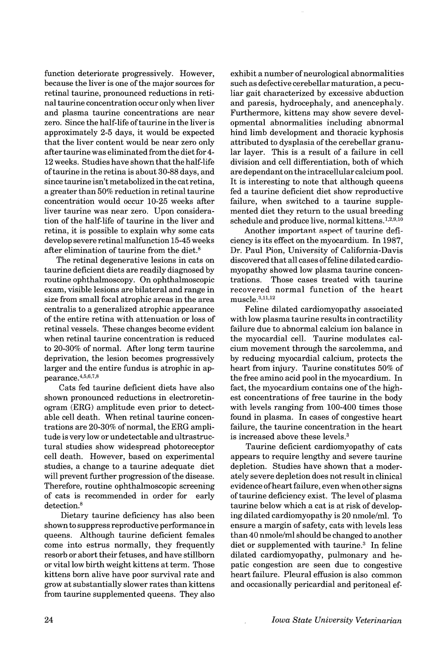function deteriorate progressively. However, because the liver is one of the major sources for retinal taurine, pronounced reductions in retinal taurine concentration occur only when liver and plasma taurine concentrations are near zero. Since the half-life oftaurine in the liver is approximately 2-5 days, it would be expected that the liver content would be near zero only after taurine was eliminated from the diet for 4-12 weeks. Studies have shown that the half-life oftaurine in the retina is about 30-88 days, and since taurine isn'tmetabolized in the catretina, a greater than 50% reduction in retinal taurine concentration would occur 10-25 weeks after liver taurine was near zero. Upon consideration of the half-life of taurine in the liver and retina, it is possible to explain why some cats develop severe retinal malfunction 15-45 weeks after elimination of taurine from the diet.<sup>8</sup>

The retinal degenerative lesions in cats on taurine deficient diets are readily diagnosed by routine ophthalmoscopy. On ophthalmoscopic exam, visible lesions are bilateral and range in size from small focal atrophic areas in the area centralis to a generalized atrophic appearance of the entire retina with attenuation or loss of retinal vessels. These changes become evident when retinal taurine concentration is reduced to 20-30% of normal. Mter long term taurine deprivation, the lesion becomes progressively larger and the entire fundus is atrophic in appearance.4,5,6,7,8

Cats fed taurine deficient diets have also shown pronounced reductions in electroretinogram (ERG) amplitude even prior to detectable cell death. When retinal taurine concentrations are 20-30% of normal, the ERG amplitude is very low or undetectable and ultrastructural studies show widespread photoreceptor cell death. However, based on experimental studies, a change to a taurine adequate diet will prevent further progression of the disease. Therefore, routine ophthalmoscopic screening of cats is recommended in order for early detection.<sup>8</sup>

Dietary taurine deficiency has also been shown to suppressreproductive performance in queens. Although taurine deficient females come into estrus normally, they frequently resorb or abort their fetuses, and have stillborn or vital low birth weight kittens at term. Those kittens born alive have poor survival rate and grow at substantially slower rates than kittens from taurine supplemented queens. They also exhibit a number of neurological abnormalities such as defective cerebellarmaturation, a peculiar gait characterized by excessive abduction and paresis, hydrocephaly, and anencephaly. Furthermore, kittens may show severe developmental abnormalities including abnormal hind limb development and thoracic kyphosis attributed to dysplasia of the cerebellar granular layer. This is a result of a failure in cell division and cell differentiation, both of which are dependant on the intracellular calcium pool. It is interesting to note that although queens fed a taurine deficient diet show reproductive failure, when switched to a taurine supplemented diet they return to the usual breeding schedule and produce live, normal kittens. 1,2,9,10

Another important aspect of taurine deficiency is its effect on the myocardium. In 1987, Dr. Paul Pion, University of California-Davis discovered that all cases offeline dilated cardiomyopathy showed low plasma taurine concentrations. Those cases treated with taurine recovered normal function of the heart muscle. 3,11,12

Feline dilated cardiomyopathy associated with low plasma taurine results in contractility failure due to abnormal calcium ion balance in the myocardial cell. Taurine modulates calcium movement through the sarcolemma, and by reducing myocardial calcium, protects the heart from injury. Taurine constitutes 50% of the free amino acid pool in the myocardium. In fact, the myocardium contains one of the highest concentrations of free taurine in the body with levels ranging from 100-400 times those found in plasma. In cases of congestive heart failure, the taurine concentration in the heart is increased above these levels.<sup>3</sup>

Taurine deficient cardiomyopathy of cats appears to require lengthy and severe taurine depletion. Studies have shown that a moderately severe depletion does not result in clinical evidence of heart failure, even when other signs oftaurine deficiency exist. The level of plasma taurine below which a cat is at risk of developing dilated cardiomyopathy is 20 nmole/ml. To ensure a margin of safety, cats with levels less than 40 nmole/ml should be changed to another diet or supplemented with taurine.<sup>3</sup> In feline dilated cardiomyopathy, pulmonary and hepatic congestion are seen due to congestive heart failure. Pleural effusion is also common and occasionally pericardial and peritoneal ef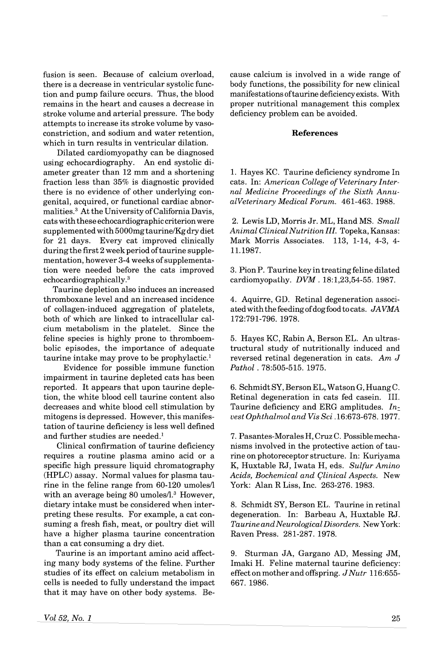fusion is seen. Because of calcium overload, there is a decrease in ventricular systolic function and pump failure occurs. Thus, the blood remains in the heart and causes a decrease in stroke volume and arterial pressure. The body attempts to increase its stroke volume by vasoconstriction, and sodium and water retention, which in turn results in ventricular dilation.

Dilated cardiomyopathy can be diagnosed using echocardiography. An end systolic diameter greater than 12 mm and a shortening fraction less than 35% is diagnostic provided there is no evidence of other underlying congenital, acquired, or functional cardiac abnormalities.<sup>3</sup> At the University of California Davis, cats with these echocardiographic criterion were supplementedwith 5000mgtaurine/Kg dry diet for 21 days. Every cat improved clinically during the first 2 week period oftaurine supplementation, however 3-4 weeks of supplementation were needed before the cats improved echocardiographically.3

Taurine depletion also induces an increased thromboxane level and an increased incidence of collagen-induced aggregation of platelets, both of which are linked to intracellular calcium metabolism in the platelet. Since the feline species is highly prone to thromboembolic episodes, the importance of adequate taurine intake may prove to be prophylactic. <sup>1</sup>

Evidence for possible immune function impairment in taurine depleted cats has been reported. It appears that upon taurine depletion, the white blood cell taurine content also decreases and white blood cell stimulation by mitogens is depressed. However, this manifestation of taurine deficiency is less well defined and further studies are needed.<sup>1</sup>

Clinical confirmation of taurine deficiency requires a routine plasma amino acid or a specific high pressure liquid chromatography (HPLC) assay. Normal values for plasma taurine in the feline range from  $60-120$  umoles/ with an average being 80 umoles/1.3 However, dietary intake must be considered when interpreting these results. For example, a cat consuming a fresh fish, meat, or poultry diet will have a higher plasma taurine concentration than a cat consuming a dry diet.

Taurine is an important amino acid affecting many body systems of the feline. Further studies of its effect on calcium metabolism in cells is needed to fully understand the impact that it may have on other body systems. Because calcium is involved in a wide range of body functions, the possibility for new clinical manifestations oftaurine deficiency exists. With proper nutritional management this complex deficiency problem can be avoided.

## References

1. Hayes KC. Taurine deficiency syndrome In cats. In: American College of Veterinary Inter*nal Medicine Proceedings of the Sixth AnnualVeterinary Medical Forum.* 461-463. 1988.

2. Lewis LD, Morris Jr. ML, Hand MS. *Small Animal Clinical Nutrition III.* Topeka, Kansas: Mark Morris Associates. 113, 1-14, 4-3, 4- 11.1987.

3. PionP. Taurine key in treating feline dilated cardiomyopathy. *DVM.* 18:1,23,54-55. 1987.

4. Aquirre, GD. Retinal degeneration associated with the feeding ofdogfood to cats. *JAVMA* 172:791-796. 1978.

5. Hayes KC, Rabin A, Berson EL. An ultrastructural study of nutritionally induced and reversed retinal degeneration in cats. *Am* J *Pathol* . 78:505-515. 1975.

6. SchmidtSY,BersonEL, WatsonG,HuangC. Retinal degeneration in cats fed casein. III. Taurine deficiency and ERG amplitudes. *In:. vest Ophthalmol and Vis Sci* .16:673-678. 1977.

7. Pasantes-Morales H, Cruz C. Possiblemechanisms involved in the protective action of taurine on photoreceptor structure. In: Kuriyama K, Huxtable RJ, Iwata H, eds. *Sulfur Amino Acids, Bochemical and 9linical Aspects.* New York: Alan R Liss, Inc. 263-276. 1983.

8. Schmidt SY, Berson EL. Taurine in retinal degeneration. In: Barbeau A, Huxtable RJ. *Taurine andNeurological Disorders.* NewYork: Raven Press. 281-287. 1978.

9. Sturman JA, Gargano AD, Messing JM, Imaki H. Feline maternal taurine deficiency: effect on mother and offspring. *J Nutr 116:655-* 667.1986.